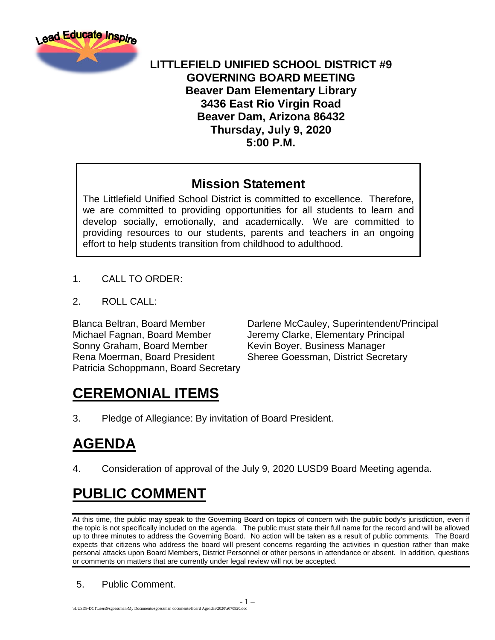

#### **LITTLEFIELD UNIFIED SCHOOL DISTRICT #9 GOVERNING BOARD MEETING Beaver Dam Elementary Library 3436 East Rio Virgin Road Beaver Dam, Arizona 86432 Thursday, July 9, 2020 5:00 P.M.**

#### **Mission Statement**

The Littlefield Unified School District is committed to excellence. Therefore, we are committed to providing opportunities for all students to learn and develop socially, emotionally, and academically. We are committed to providing resources to our students, parents and teachers in an ongoing effort to help students transition from childhood to adulthood.

- 1. CALL TO ORDER:
- 2. ROLL CALL:

Michael Fagnan, Board Member Jeremy Clarke, Elementary Principal Sonny Graham, Board Member Kevin Boyer, Business Manager Rena Moerman, Board President Sheree Goessman, District Secretary Patricia Schoppmann, Board Secretary

Blanca Beltran, Board Member Darlene McCauley, Superintendent/Principal

# **CEREMONIAL ITEMS**

3. Pledge of Allegiance: By invitation of Board President.

# **AGENDA**

4. Consideration of approval of the July 9, 2020 LUSD9 Board Meeting agenda.

- 1 –

# **PUBLIC COMMENT**

At this time, the public may speak to the Governing Board on topics of concern with the public body's jurisdiction, even if the topic is not specifically included on the agenda. The public must state their full name for the record and will be allowed up to three minutes to address the Governing Board. No action will be taken as a result of public comments. The Board expects that citizens who address the board will present concerns regarding the activities in question rather than make personal attacks upon Board Members, District Personnel or other persons in attendance or absent. In addition, questions or comments on matters that are currently under legal review will not be accepted.

#### 5. Public Comment.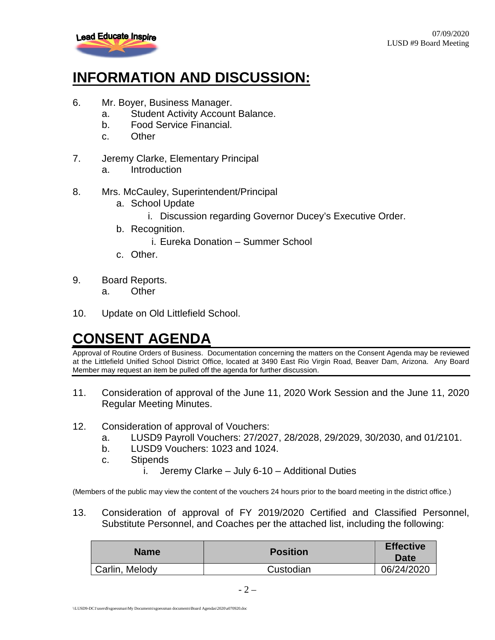

### **INFORMATION AND DISCUSSION:**

- 6. Mr. Boyer, Business Manager.
	- a. Student Activity Account Balance.
	- b. Food Service Financial.
	- c. Other
- 7. Jeremy Clarke, Elementary Principal
	- a. Introduction
- 8. Mrs. McCauley, Superintendent/Principal
	- a. School Update
		- i. Discussion regarding Governor Ducey's Executive Order.
	- b. Recognition.
		- i. Eureka Donation Summer School
	- c. Other.
- 9. Board Reports.
	- a. Other
- 10. Update on Old Littlefield School.

# **CONSENT AGENDA**

Approval of Routine Orders of Business. Documentation concerning the matters on the Consent Agenda may be reviewed at the Littlefield Unified School District Office, located at 3490 East Rio Virgin Road, Beaver Dam, Arizona. Any Board Member may request an item be pulled off the agenda for further discussion.

- 11. Consideration of approval of the June 11, 2020 Work Session and the June 11, 2020 Regular Meeting Minutes.
- 12. Consideration of approval of Vouchers:
	- a. LUSD9 Payroll Vouchers: 27/2027, 28/2028, 29/2029, 30/2030, and 01/2101.
	- b. LUSD9 Vouchers: 1023 and 1024.
	- c. Stipends
		- i. Jeremy Clarke July 6-10 Additional Duties

(Members of the public may view the content of the vouchers 24 hours prior to the board meeting in the district office.)

13. Consideration of approval of FY 2019/2020 Certified and Classified Personnel, Substitute Personnel, and Coaches per the attached list, including the following:

| <b>Name</b>    | <b>Position</b> | <b>Effective</b><br>Date |
|----------------|-----------------|--------------------------|
| Carlin, Melody | Custodian       | 06/24/2020               |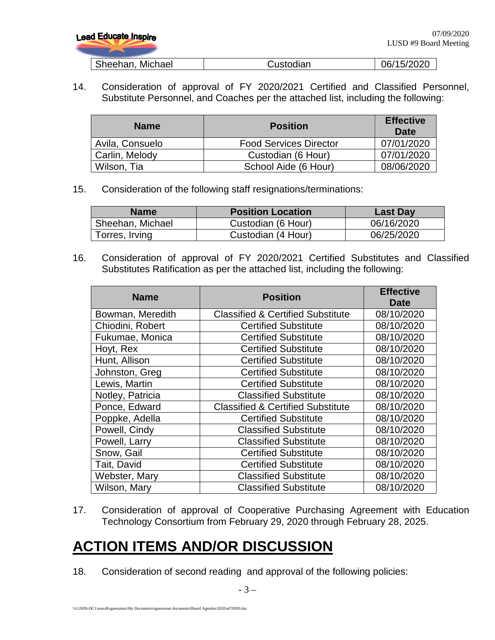| <b>Lead Educate Inspire</b> |           | LUSD #9 Board Meeting | 07/09/2020 |
|-----------------------------|-----------|-----------------------|------------|
| Sheehan, Michael            | Custodian | 06/15/2020            |            |

14. Consideration of approval of FY 2020/2021 Certified and Classified Personnel, Substitute Personnel, and Coaches per the attached list, including the following:

07/09/2020

| <b>Name</b>     | <b>Position</b>               | <b>Effective</b><br>Date |
|-----------------|-------------------------------|--------------------------|
| Avila, Consuelo | <b>Food Services Director</b> | 07/01/2020               |
| Carlin, Melody  | Custodian (6 Hour)            | 07/01/2020               |
| Wilson, Tia     | School Aide (6 Hour)          | 08/06/2020               |

15. Consideration of the following staff resignations/terminations:

| <b>Name</b>      | <b>Position Location</b> | <b>Last Day</b> |
|------------------|--------------------------|-----------------|
| Sheehan, Michael | Custodian (6 Hour)       | 06/16/2020      |
| Torres, Irving   | Custodian (4 Hour)       | 06/25/2020      |

16. Consideration of approval of FY 2020/2021 Certified Substitutes and Classified Substitutes Ratification as per the attached list, including the following:

| <b>Name</b>      | <b>Position</b>                              | <b>Effective</b><br><b>Date</b> |
|------------------|----------------------------------------------|---------------------------------|
| Bowman, Meredith | <b>Classified &amp; Certified Substitute</b> | 08/10/2020                      |
| Chiodini, Robert | <b>Certified Substitute</b>                  | 08/10/2020                      |
| Fukumae, Monica  | <b>Certified Substitute</b>                  | 08/10/2020                      |
| Hoyt, Rex        | <b>Certified Substitute</b>                  | 08/10/2020                      |
| Hunt, Allison    | <b>Certified Substitute</b>                  | 08/10/2020                      |
| Johnston, Greg   | <b>Certified Substitute</b>                  | 08/10/2020                      |
| Lewis, Martin    | <b>Certified Substitute</b>                  | 08/10/2020                      |
| Notley, Patricia | <b>Classified Substitute</b>                 | 08/10/2020                      |
| Ponce, Edward    | <b>Classified &amp; Certified Substitute</b> | 08/10/2020                      |
| Poppke, Adella   | <b>Certified Substitute</b>                  | 08/10/2020                      |
| Powell, Cindy    | <b>Classified Substitute</b>                 | 08/10/2020                      |
| Powell, Larry    | <b>Classified Substitute</b>                 | 08/10/2020                      |
| Snow, Gail       | <b>Certified Substitute</b>                  | 08/10/2020                      |
| Tait, David      | <b>Certified Substitute</b>                  | 08/10/2020                      |
| Webster, Mary    | <b>Classified Substitute</b>                 | 08/10/2020                      |
| Wilson, Mary     | <b>Classified Substitute</b>                 | 08/10/2020                      |

17. Consideration of approval of Cooperative Purchasing Agreement with Education Technology Consortium from February 29, 2020 through February 28, 2025.

## **ACTION ITEMS AND/OR DISCUSSION**

18. Consideration of second reading and approval of the following policies: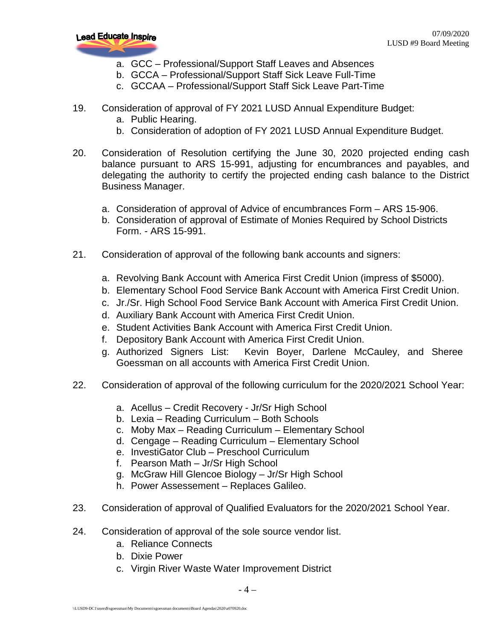

- a. GCC Professional/Support Staff Leaves and Absences
- b. GCCA Professional/Support Staff Sick Leave Full-Time
- c. GCCAA Professional/Support Staff Sick Leave Part-Time
- 19. Consideration of approval of FY 2021 LUSD Annual Expenditure Budget:
	- a. Public Hearing.
	- b. Consideration of adoption of FY 2021 LUSD Annual Expenditure Budget.
- 20. Consideration of Resolution certifying the June 30, 2020 projected ending cash balance pursuant to ARS 15-991, adjusting for encumbrances and payables, and delegating the authority to certify the projected ending cash balance to the District Business Manager.
	- a. Consideration of approval of Advice of encumbrances Form ARS 15-906.
	- b. Consideration of approval of Estimate of Monies Required by School Districts Form. - ARS 15-991.
- 21. Consideration of approval of the following bank accounts and signers:
	- a. Revolving Bank Account with America First Credit Union (impress of \$5000).
	- b. Elementary School Food Service Bank Account with America First Credit Union.
	- c. Jr./Sr. High School Food Service Bank Account with America First Credit Union.
	- d. Auxiliary Bank Account with America First Credit Union.
	- e. Student Activities Bank Account with America First Credit Union.
	- f. Depository Bank Account with America First Credit Union.
	- g. Authorized Signers List: Kevin Boyer, Darlene McCauley, and Sheree Goessman on all accounts with America First Credit Union.
- 22. Consideration of approval of the following curriculum for the 2020/2021 School Year:
	- a. Acellus Credit Recovery Jr/Sr High School
	- b. Lexia Reading Curriculum Both Schools
	- c. Moby Max Reading Curriculum Elementary School
	- d. Cengage Reading Curriculum Elementary School
	- e. InvestiGator Club Preschool Curriculum
	- f. Pearson Math Jr/Sr High School
	- g. McGraw Hill Glencoe Biology Jr/Sr High School
	- h. Power Assessement Replaces Galileo.
- 23. Consideration of approval of Qualified Evaluators for the 2020/2021 School Year.
- 24. Consideration of approval of the sole source vendor list.
	- a. Reliance Connects
	- b. Dixie Power
	- c. Virgin River Waste Water Improvement District